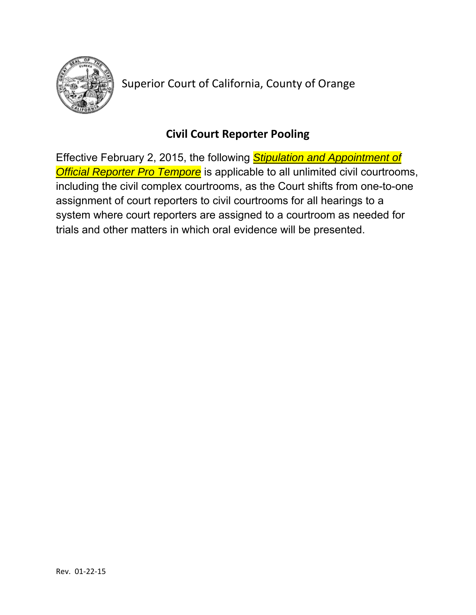

Superior Court of California, County of Orange

# **Civil Court Reporter Pooling**

Effective February 2, 2015, the following *Stipulation and Appointment of Official Reporter Pro Tempore* is applicable to all unlimited civil courtrooms, including the civil complex courtrooms, as the Court shifts from one-to-one assignment of court reporters to civil courtrooms for all hearings to a system where court reporters are assigned to a courtroom as needed for trials and other matters in which oral evidence will be presented.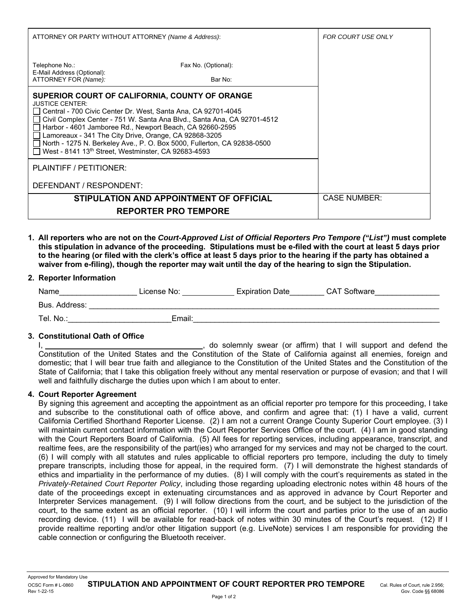| ATTORNEY OR PARTY WITHOUT ATTORNEY (Name & Address):                                                                                                                                                                                                                                                                                                                                                                                                                        | FOR COURT USE ONLY             |  |  |
|-----------------------------------------------------------------------------------------------------------------------------------------------------------------------------------------------------------------------------------------------------------------------------------------------------------------------------------------------------------------------------------------------------------------------------------------------------------------------------|--------------------------------|--|--|
| Telephone No.:<br>E-Mail Address (Optional):<br>ATTORNEY FOR (Name):                                                                                                                                                                                                                                                                                                                                                                                                        | Fax No. (Optional):<br>Bar No: |  |  |
| SUPERIOR COURT OF CALIFORNIA, COUNTY OF ORANGE<br><b>JUSTICE CENTER:</b><br>Central - 700 Civic Center Dr. West, Santa Ana, CA 92701-4045<br>Civil Complex Center - 751 W. Santa Ana Blvd., Santa Ana, CA 92701-4512<br>Harbor - 4601 Jamboree Rd., Newport Beach, CA 92660-2595<br>Lamoreaux - 341 The City Drive, Orange, CA 92868-3205<br>North - 1275 N. Berkeley Ave., P. O. Box 5000, Fullerton, CA 92838-0500<br>West - 8141 13th Street, Westminster, CA 92683-4593 |                                |  |  |
| PLAINTIFF / PETITIONER:<br>DEFENDANT / RESPONDENT:                                                                                                                                                                                                                                                                                                                                                                                                                          |                                |  |  |
| STIPULATION AND APPOINTMENT OF OFFICIAL                                                                                                                                                                                                                                                                                                                                                                                                                                     | <b>CASE NUMBER:</b>            |  |  |
| <b>REPORTER PRO TEMPORE</b>                                                                                                                                                                                                                                                                                                                                                                                                                                                 |                                |  |  |

**1. All reporters who are not on the** *Court-Approved List of Official Reporters Pro Tempore ("List")* **must complete this stipulation in advance of the proceeding. Stipulations must be e-filed with the court at least 5 days prior to the hearing (or filed with the clerk's office at least 5 days prior to the hearing if the party has obtained a waiver from e-filing), though the reporter may wait until the day of the hearing to sign the Stipulation.** 

# **2. Reporter Information**

| Name          | License No: | <b>Expiration Date</b> | <b>CAT Software</b> |  |
|---------------|-------------|------------------------|---------------------|--|
| Bus. Address: |             |                        |                     |  |
| Tel. No.:     | Email:      |                        |                     |  |

# **3. Constitutional Oath of Office**

I, 1. The solemnia state of the solemnia swear (or affirm) that I will support and defend the Constitution of the United States and the Constitution of the State of California against all enemies, foreign and domestic; that I will bear true faith and allegiance to the Constitution of the United States and the Constitution of the State of California; that I take this obligation freely without any mental reservation or purpose of evasion; and that I will well and faithfully discharge the duties upon which I am about to enter.

#### **4. Court Reporter Agreement**

By signing this agreement and accepting the appointment as an official reporter pro tempore for this proceeding, I take and subscribe to the constitutional oath of office above, and confirm and agree that: (1) I have a valid, current California Certified Shorthand Reporter License. (2) I am not a current Orange County Superior Court employee. (3) I will maintain current contact information with the Court Reporter Services Office of the court. (4) I am in good standing with the Court Reporters Board of California. (5) All fees for reporting services, including appearance, transcript, and realtime fees, are the responsibility of the part(ies) who arranged for my services and may not be charged to the court. (6) I will comply with all statutes and rules applicable to official reporters pro tempore, including the duty to timely prepare transcripts, including those for appeal, in the required form. (7) I will demonstrate the highest standards of ethics and impartiality in the performance of my duties. (8) I will comply with the court's requirements as stated in the *Privately-Retained Court Reporter Policy*, including those regarding uploading electronic notes within 48 hours of the date of the proceedings except in extenuating circumstances and as approved in advance by Court Reporter and Interpreter Services management. (9) I will follow directions from the court, and be subject to the jurisdiction of the court, to the same extent as an official reporter. (10) I will inform the court and parties prior to the use of an audio recording device. (11) I will be available for read-back of notes within 30 minutes of the Court's request. (12) If I provide realtime reporting and/or other litigation support (e.g. LiveNote) services I am responsible for providing the cable connection or configuring the Bluetooth receiver.